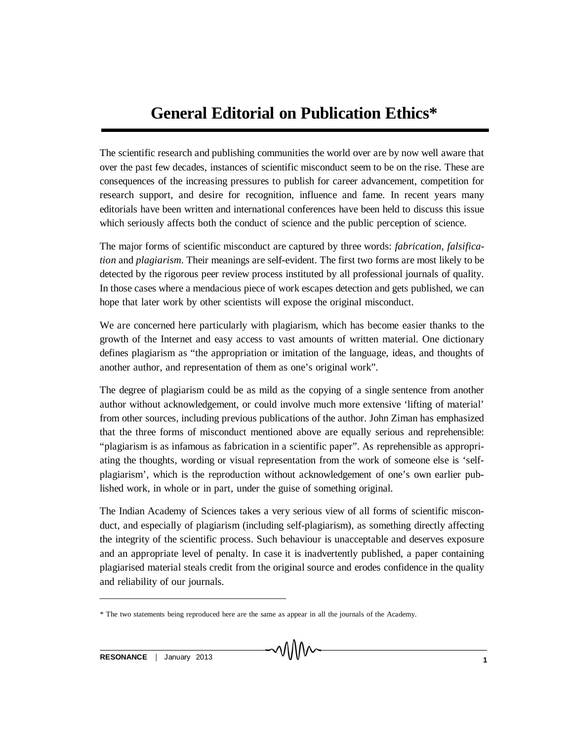## **General Editorial on Publication Ethics\***

The scientific research and publishing communities the world over are by now well aware that over the past few decades, instances of scientific misconduct seem to be on the rise. These are consequences of the increasing pressures to publish for career advancement, competition for research support, and desire for recognition, influence and fame. In recent years many editorials have been written and international conferences have been held to discuss this issue which seriously affects both the conduct of science and the public perception of science.

The major forms of scientific misconduct are captured by three words: *fabrication*, *falsification* and *plagiarism*. Their meanings are self-evident. The first two forms are most likely to be detected by the rigorous peer review process instituted by all professional journals of quality. In those cases where a mendacious piece of work escapes detection and gets published, we can hope that later work by other scientists will expose the original misconduct.

We are concerned here particularly with plagiarism, which has become easier thanks to the growth of the Internet and easy access to vast amounts of written material. One dictionary defines plagiarism as "the appropriation or imitation of the language, ideas, and thoughts of another author, and representation of them as one's original work".

The degree of plagiarism could be as mild as the copying of a single sentence from another author without acknowledgement, or could involve much more extensive 'lifting of material' from other sources, including previous publications of the author. John Ziman has emphasized that the three forms of misconduct mentioned above are equally serious and reprehensible: "plagiarism is as infamous as fabrication in a scientific paper". As reprehensible as appropriating the thoughts, wording or visual representation from the work of someone else is 'selfplagiarism', which is the reproduction without acknowledgement of one's own earlier published work, in whole or in part, under the guise of something original.

The Indian Academy of Sciences takes a very serious view of all forms of scientific misconduct, and especially of plagiarism (including self-plagiarism), as something directly affecting the integrity of the scientific process. Such behaviour is unacceptable and deserves exposure and an appropriate level of penalty. In case it is inadvertently published, a paper containing plagiarised material steals credit from the original source and erodes confidence in the quality and reliability of our journals.

<sup>\*</sup> The two statements being reproduced here are the same as appear in all the journals of the Academy.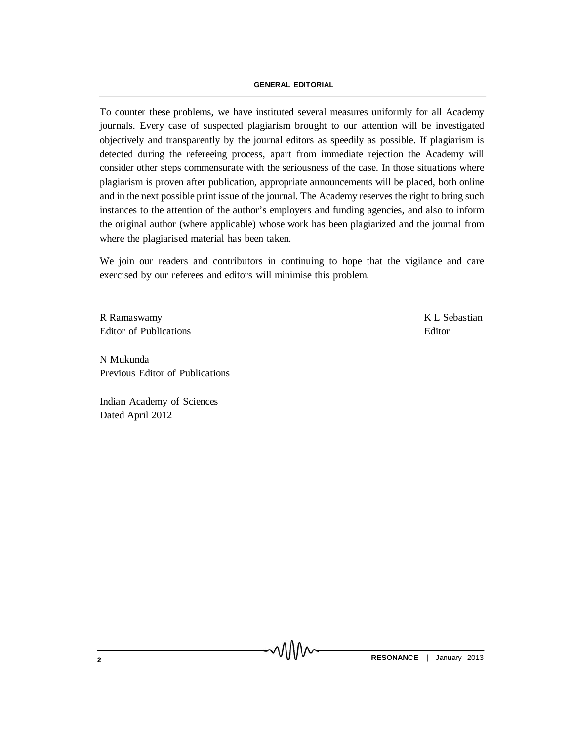## **GENERAL EDITORIAL**

To counter these problems, we have instituted several measures uniformly for all Academy journals. Every case of suspected plagiarism brought to our attention will be investigated objectively and transparently by the journal editors as speedily as possible. If plagiarism is detected during the refereeing process, apart from immediate rejection the Academy will consider other steps commensurate with the seriousness of the case. In those situations where plagiarism is proven after publication, appropriate announcements will be placed, both online and in the next possible print issue of the journal. The Academy reserves the right to bring such instances to the attention of the author's employers and funding agencies, and also to inform the original author (where applicable) whose work has been plagiarized and the journal from where the plagiarised material has been taken.

We join our readers and contributors in continuing to hope that the vigilance and care exercised by our referees and editors will minimise this problem.

MM

R Ramaswamy K L Sebastian Editor of Publications **Editor** Editor **Editor** 

N Mukunda Previous Editor of Publications

Indian Academy of Sciences Dated April 2012